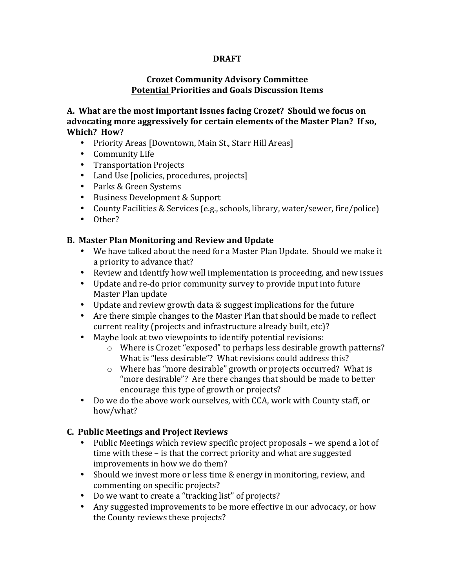### **DRAFT**

## **Crozet Community Advisory Committee Potential Priorities and Goals Discussion Items**

A. What are the most important issues facing Crozet? Should we focus on advocating more aggressively for certain elements of the Master Plan? If so, **Which? How?** 

- Priority Areas [Downtown, Main St., Starr Hill Areas]
- Community Life
- Transportation Projects
- Land Use [policies, procedures, projects]
- Parks & Green Systems
- Business Development & Support
- County Facilities & Services (e.g., schools, library, water/sewer, fire/police)
- Other?

## **B. Master Plan Monitoring and Review and Update**

- We have talked about the need for a Master Plan Update. Should we make it a priority to advance that?
- Review and identify how well implementation is proceeding, and new issues
- Update and re-do prior community survey to provide input into future Master Plan update
- Update and review growth data & suggest implications for the future
- Are there simple changes to the Master Plan that should be made to reflect current reality (projects and infrastructure already built, etc)?
- Maybe look at two viewpoints to identify potential revisions:
	- $\circ$  Where is Crozet "exposed" to perhaps less desirable growth patterns? What is "less desirable"? What revisions could address this?
	- $\circ$  Where has "more desirable" growth or projects occurred? What is "more desirable"? Are there changes that should be made to better encourage this type of growth or projects?
- Do we do the above work ourselves, with CCA, work with County staff, or how/what?

#### **C. Public Meetings and Project Reviews**

- Public Meetings which review specific project proposals we spend a lot of time with these - is that the correct priority and what are suggested improvements in how we do them?
- Should we invest more or less time & energy in monitoring, review, and commenting on specific projects?
- Do we want to create a "tracking list" of projects?
- Any suggested improvements to be more effective in our advocacy, or how the County reviews these projects?